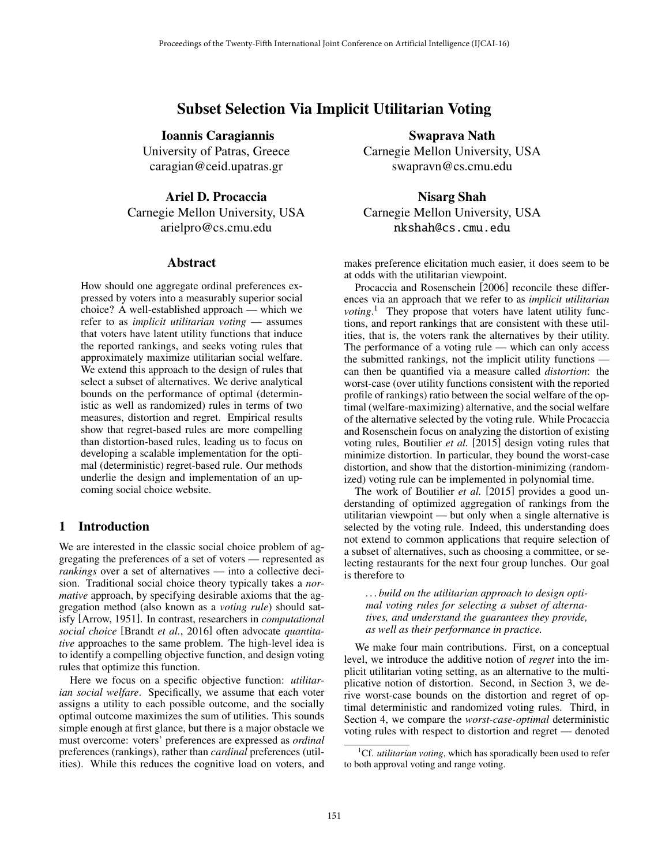# Subset Selection Via Implicit Utilitarian Voting

Ioannis Caragiannis University of Patras, Greece caragian@ceid.upatras.gr

Ariel D. Procaccia Carnegie Mellon University, USA arielpro@cs.cmu.edu

#### Abstract

How should one aggregate ordinal preferences expressed by voters into a measurably superior social choice? A well-established approach — which we refer to as *implicit utilitarian voting* — assumes that voters have latent utility functions that induce the reported rankings, and seeks voting rules that approximately maximize utilitarian social welfare. We extend this approach to the design of rules that select a subset of alternatives. We derive analytical bounds on the performance of optimal (deterministic as well as randomized) rules in terms of two measures, distortion and regret. Empirical results show that regret-based rules are more compelling than distortion-based rules, leading us to focus on developing a scalable implementation for the optimal (deterministic) regret-based rule. Our methods underlie the design and implementation of an upcoming social choice website.

# 1 Introduction

We are interested in the classic social choice problem of aggregating the preferences of a set of voters — represented as *rankings* over a set of alternatives — into a collective decision. Traditional social choice theory typically takes a *normative* approach, by specifying desirable axioms that the aggregation method (also known as a *voting rule*) should satisfy [Arrow, 1951]. In contrast, researchers in *computational social choice* [Brandt *et al.*, 2016] often advocate *quantitative* approaches to the same problem. The high-level idea is to identify a compelling objective function, and design voting rules that optimize this function.

Here we focus on a specific objective function: *utilitarian social welfare*. Specifically, we assume that each voter assigns a utility to each possible outcome, and the socially optimal outcome maximizes the sum of utilities. This sounds simple enough at first glance, but there is a major obstacle we must overcome: voters' preferences are expressed as *ordinal* preferences (rankings), rather than *cardinal* preferences (utilities). While this reduces the cognitive load on voters, and

Swaprava Nath Carnegie Mellon University, USA swapravn@cs.cmu.edu

Nisarg Shah Carnegie Mellon University, USA nkshah@cs.cmu.edu

makes preference elicitation much easier, it does seem to be at odds with the utilitarian viewpoint.

Procaccia and Rosenschein [2006] reconcile these differences via an approach that we refer to as *implicit utilitarian* voting.<sup>1</sup> They propose that voters have latent utility functions, and report rankings that are consistent with these utilities, that is, the voters rank the alternatives by their utility. The performance of a voting rule — which can only access the submitted rankings, not the implicit utility functions can then be quantified via a measure called *distortion*: the worst-case (over utility functions consistent with the reported profile of rankings) ratio between the social welfare of the optimal (welfare-maximizing) alternative, and the social welfare of the alternative selected by the voting rule. While Procaccia and Rosenschein focus on analyzing the distortion of existing voting rules, Boutilier *et al.* [2015] design voting rules that minimize distortion. In particular, they bound the worst-case distortion, and show that the distortion-minimizing (randomized) voting rule can be implemented in polynomial time.

The work of Boutilier *et al.* [2015] provides a good understanding of optimized aggregation of rankings from the utilitarian viewpoint — but only when a single alternative is selected by the voting rule. Indeed, this understanding does not extend to common applications that require selection of a subset of alternatives, such as choosing a committee, or selecting restaurants for the next four group lunches. Our goal is therefore to

*. . . build on the utilitarian approach to design optimal voting rules for selecting a subset of alternatives, and understand the guarantees they provide, as well as their performance in practice.*

We make four main contributions. First, on a conceptual level, we introduce the additive notion of *regret* into the implicit utilitarian voting setting, as an alternative to the multiplicative notion of distortion. Second, in Section 3, we derive worst-case bounds on the distortion and regret of optimal deterministic and randomized voting rules. Third, in Section 4, we compare the *worst-case-optimal* deterministic voting rules with respect to distortion and regret — denoted

<sup>&</sup>lt;sup>1</sup>Cf. *utilitarian voting*, which has sporadically been used to refer to both approval voting and range voting.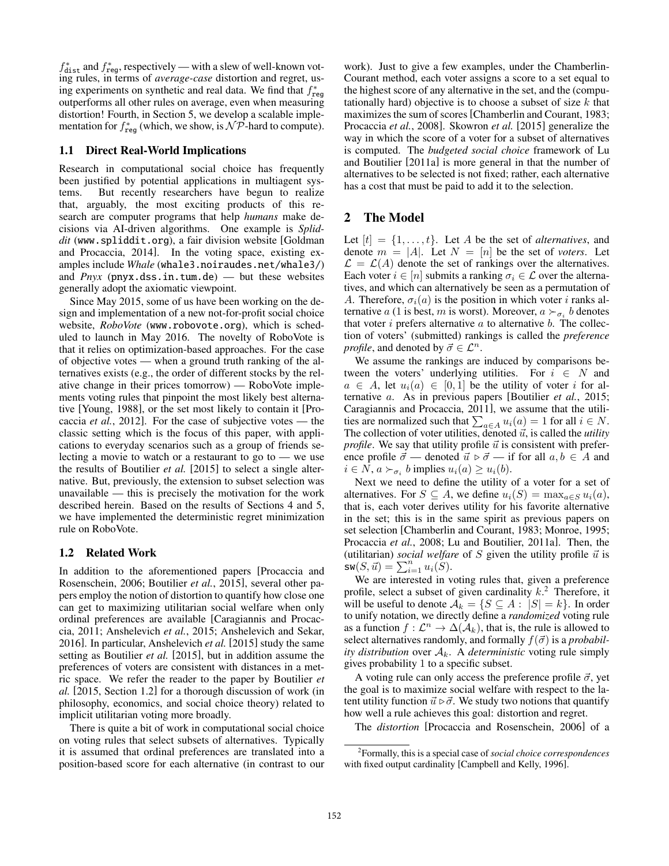$f_{\text{dist}}^*$  and  $f_{\text{reg}}^*$ , respectively — with a slew of well-known voting rules, in terms of *average-case* distortion and regret, using experiments on synthetic and real data. We find that  $f^*_{reg}$ outperforms all other rules on average, even when measuring distortion! Fourth, in Section 5, we develop a scalable implementation for  $f^*_{reg}$  (which, we show, is  $\mathcal{NP}$ -hard to compute).

## 1.1 Direct Real-World Implications

Research in computational social choice has frequently been justified by potential applications in multiagent systems. But recently researchers have begun to realize that, arguably, the most exciting products of this research are computer programs that help *humans* make decisions via AI-driven algorithms. One example is *Spliddit* (www.spliddit.org), a fair division website [Goldman and Procaccia, 2014]. In the voting space, existing examples include *Whale* (whale3.noiraudes.net/whale3/) and  $Pnyx$  (pnyx.dss.in.tum.de) — but these websites generally adopt the axiomatic viewpoint.

Since May 2015, some of us have been working on the design and implementation of a new not-for-profit social choice website, *RoboVote* (www.robovote.org), which is scheduled to launch in May 2016. The novelty of RoboVote is that it relies on optimization-based approaches. For the case of objective votes — when a ground truth ranking of the alternatives exists (e.g., the order of different stocks by the relative change in their prices tomorrow) — RoboVote implements voting rules that pinpoint the most likely best alternative [Young, 1988], or the set most likely to contain it [Procaccia *et al.*, 2012]. For the case of subjective votes — the classic setting which is the focus of this paper, with applications to everyday scenarios such as a group of friends selecting a movie to watch or a restaurant to go to — we use the results of Boutilier *et al.* [2015] to select a single alternative. But, previously, the extension to subset selection was unavailable — this is precisely the motivation for the work described herein. Based on the results of Sections 4 and 5, we have implemented the deterministic regret minimization rule on RoboVote.

#### 1.2 Related Work

In addition to the aforementioned papers [Procaccia and Rosenschein, 2006; Boutilier *et al.*, 2015], several other papers employ the notion of distortion to quantify how close one can get to maximizing utilitarian social welfare when only ordinal preferences are available [Caragiannis and Procaccia, 2011; Anshelevich *et al.*, 2015; Anshelevich and Sekar, 2016]. In particular, Anshelevich *et al.* [2015] study the same setting as Boutilier *et al.* [2015], but in addition assume the preferences of voters are consistent with distances in a metric space. We refer the reader to the paper by Boutilier *et al.* [2015, Section 1.2] for a thorough discussion of work (in philosophy, economics, and social choice theory) related to implicit utilitarian voting more broadly.

There is quite a bit of work in computational social choice on voting rules that select subsets of alternatives. Typically it is assumed that ordinal preferences are translated into a position-based score for each alternative (in contrast to our work). Just to give a few examples, under the Chamberlin-Courant method, each voter assigns a score to a set equal to the highest score of any alternative in the set, and the (computationally hard) objective is to choose a subset of size *k* that maximizes the sum of scores [Chamberlin and Courant, 1983; Procaccia *et al.*, 2008]. Skowron *et al.* [2015] generalize the way in which the score of a voter for a subset of alternatives is computed. The *budgeted social choice* framework of Lu and Boutilier [2011a] is more general in that the number of alternatives to be selected is not fixed; rather, each alternative has a cost that must be paid to add it to the selection.

# 2 The Model

Let  $[t] = \{1, \ldots, t\}$ . Let *A* be the set of *alternatives*, and denote  $m = |A|$ . Let  $N = [n]$  be the set of *voters*. Let  $\mathcal{L} = \mathcal{L}(A)$  denote the set of rankings over the alternatives. Each voter  $i \in [n]$  submits a ranking  $\sigma_i \in \mathcal{L}$  over the alternatives, and which can alternatively be seen as a permutation of *A*. Therefore,  $\sigma_i(a)$  is the position in which voter *i* ranks alternative *a* (1 is best, *m* is worst). Moreover,  $a \succ_{\sigma_i} b$  denotes that voter *i* prefers alternative *a* to alternative *b*. The collection of voters' (submitted) rankings is called the *preference profile*, and denoted by  $\vec{\sigma} \in \mathcal{L}^n$ .

We assume the rankings are induced by comparisons between the voters' underlying utilities. For  $i \in N$  and  $a \in A$ , let  $u_i(a) \in [0,1]$  be the utility of voter *i* for alternative *a*. As in previous papers [Boutilier *et al.*, 2015; Caragiannis and Procaccia, 2011], we assume that the utilities are normalized such that  $\sum_{a \in A} u_i(a) = 1$  for all  $i \in N$ .<br>The collection of voter utilities, denoted  $\vec{u}$ , is called the *utility profile*. We say that utility profile  $\vec{u}$  is consistent with preference profile  $\vec{\sigma}$  — denoted  $\vec{u} \triangleright \vec{\sigma}$  — if for all  $a, b \in A$  and  $i \in N$ ,  $a \succ_{\sigma_i} b$  implies  $u_i(a) \geq u_i(b)$ .

Next we need to define the utility of a voter for a set of alternatives. For  $S \subseteq A$ , we define  $u_i(S) = \max_{a \in S} u_i(a)$ , that is, each voter derives utility for his favorite alternative in the set; this is in the same spirit as previous papers on set selection [Chamberlin and Courant, 1983; Monroe, 1995; Procaccia *et al.*, 2008; Lu and Boutilier, 2011a]. Then, the (utilitarian) *social welfare* of  $S$  given the utility profile  $\vec{u}$  is  $\mathsf{sw}(S, \vec{u}) = \sum_{i=1}^{n} u_i(S).$ 

We are interested in voting rules that, given a preference profile, select a subset of given cardinality *k*. <sup>2</sup> Therefore, it will be useful to denote  $A_k = \{S \subseteq A : |S| = k\}$ . In order to unify notation, we directly define a *randomized* voting rule as a function  $f: \mathcal{L}^n \to \Delta(\mathcal{A}_k)$ , that is, the rule is allowed to select alternatives randomly, and formally  $f(\vec{\sigma})$  is a *probability distribution* over  $A_k$ . A *deterministic* voting rule simply gives probability 1 to a specific subset.

A voting rule can only access the preference profile  $\vec{\sigma}$ , yet the goal is to maximize social welfare with respect to the latent utility function  $\vec{u} \triangleright \vec{\sigma}$ . We study two notions that quantify how well a rule achieves this goal: distortion and regret.

The *distortion* [Procaccia and Rosenschein, 2006] of a

<sup>2</sup> Formally, this is a special case of *social choice correspondences* with fixed output cardinality [Campbell and Kelly, 1996].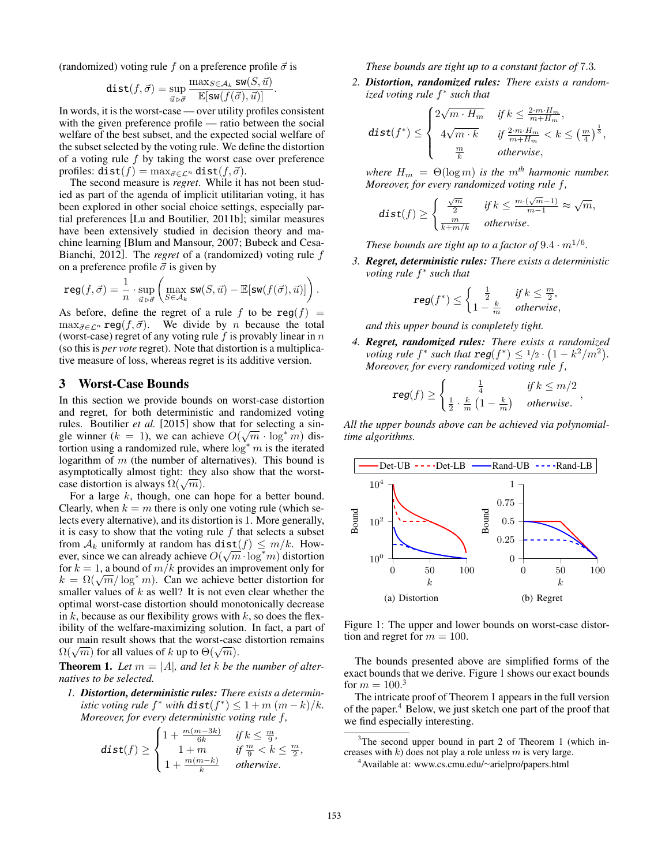(randomized) voting rule  $f$  on a preference profile  $\vec{\sigma}$  is

$$
\text{dist}(f, \vec{\sigma}) = \sup_{\vec{u} \rhd \vec{\sigma}} \frac{\max_{S \in \mathcal{A}_k} \text{sw}(S, \vec{u})}{\mathbb{E}[\text{sw}(f(\vec{\sigma}), \vec{u})]}.
$$

In words, it is the worst-case — over utility profiles consistent with the given preference profile — ratio between the social welfare of the best subset, and the expected social welfare of the subset selected by the voting rule. We define the distortion of a voting rule *f* by taking the worst case over preference profiles:  $dist(f) = \max_{\vec{\sigma} \in \mathcal{L}^n} dist(f, \vec{\sigma}).$ 

The second measure is *regret*. While it has not been studied as part of the agenda of implicit utilitarian voting, it has been explored in other social choice settings, especially partial preferences [Lu and Boutilier, 2011b]; similar measures have been extensively studied in decision theory and machine learning [Blum and Mansour, 2007; Bubeck and Cesa-Bianchi, 2012]. The *regret* of a (randomized) voting rule *f* on a preference profile  $\vec{\sigma}$  is given by

$$
\operatorname{reg}(f, \vec{\sigma}) = \frac{1}{n} \cdot \sup_{\vec{u} \models \vec{\sigma}} \left( \max_{S \in \mathcal{A}_k} \operatorname{sw}(S, \vec{u}) - \mathbb{E}[\operatorname{sw}(f(\vec{\sigma}), \vec{u})] \right).
$$

As before, define the regret of a rule  $f$  to be  $reg(f)$  =  $\max_{\vec{\sigma} \in \mathcal{L}^n} \text{reg}(f, \vec{\sigma})$ . We divide by *n* because the total (worst-case) regret of any voting rule *f* is provably linear in *n* (so this is *per vote* regret). Note that distortion is a multiplicative measure of loss, whereas regret is its additive version.

#### 3 Worst-Case Bounds

In this section we provide bounds on worst-case distortion and regret, for both deterministic and randomized voting rules. Boutilier *et al.* [2015] show that for selecting a single winner ( $k = 1$ ), we can achieve  $O(\sqrt{m} \cdot \log^* m)$  distortion using a randomized rule, where  $\log^* m$  is the iterated logarithm of *m* (the number of alternatives). This bound is asymptotically almost tight: they also show that the worstcase distortion is always  $\Omega(\sqrt{m})$ .

For a large *k*, though, one can hope for a better bound. Clearly, when  $k = m$  there is only one voting rule (which selects every alternative), and its distortion is 1. More generally, it is easy to show that the voting rule *f* that selects a subset from  $A_k$  uniformly at random has  $dist(f) \leq m/k$ . However, since we can already achieve  $O(\sqrt{m} \cdot \log^* m)$  distortion for  $k = 1$ , a bound of  $m/k$  provides an improvement only for  $k = \Omega(\sqrt{m}/\log^* m)$ . Can we achieve better distortion for smaller values of *k* as well? It is not even clear whether the optimal worst-case distortion should monotonically decrease in  $k$ , because as our flexibility grows with  $k$ , so does the flexibility of the welfare-maximizing solution. In fact, a part of our main result shows that the worst-case distortion remains  $\Omega(\sqrt{m})$  for all values of *k* up to  $\Theta(\sqrt{m})$ .

**Theorem 1.** Let  $m = |A|$ , and let  $k$  be the number of alter*natives to be selected.*

*1. Distortion, deterministic rules: There exists a deterministic voting rule*  $f^*$  *with*  $dist(f^*) \leq 1 + m(m-k)/k$ . *Moreover, for every deterministic voting rule f,*

$$
\text{dist}(f) \geq \begin{cases} 1+\frac{m(m-3k)}{6k} & \text{ if } k \leq \frac{m}{9}, \\ \quad 1+m & \text{ if } \frac{m}{9} < k \leq \frac{m}{2}, \\ 1+\frac{m(m-k)}{k} & \text{ otherwise}. \end{cases}
$$

*These bounds are tight up to a constant factor of* 7*.*3*.*

*2. Distortion, randomized rules: There exists a randomized voting rule*  $f^*$  *such that* 

$$
\text{dist}(f^*) \leq \begin{cases} 2\sqrt{m\cdot H_m} & \text{if } k \leq \frac{2\cdot m\cdot H_m}{m+H_m}, \\ 4\sqrt{m\cdot k} & \text{if } \frac{2\cdot m\cdot H_m}{m+H_m} < k \leq \left(\frac{m}{4}\right)^{\frac{1}{3}}, \\ \frac{m}{k} & \text{otherwise}, \end{cases}
$$

*where*  $H_m = \Theta(\log m)$  *is the*  $m^{th}$  *harmonic number. Moreover, for every randomized voting rule f,*

$$
\text{dist}(f) \ge \begin{cases} \frac{\sqrt{m}}{2} & \text{if } k \le \frac{m \cdot (\sqrt{m} - 1)}{m - 1} \approx \sqrt{m}, \\ \frac{m}{k + m/k} & \text{otherwise.} \end{cases}
$$

*These bounds are tight up to a factor of*  $9.4 \cdot m^{1/6}$ .

*3. Regret, deterministic rules: There exists a deterministic voting rule*  $f^*$  *such that* 

$$
\text{reg}(f^*) \le \begin{cases} \frac{1}{2} & \text{if } k \le \frac{m}{2}, \\ 1 - \frac{k}{m} & \text{otherwise,} \end{cases}
$$

*and this upper bound is completely tight.*

*4. Regret, randomized rules: There exists a randomized voting rule*  $f^*$  *such that*  $reg(f^*) \leq \frac{1}{2} \cdot (1 - k^2/m^2)$ *. Moreover, for every randomized voting rule f,*

$$
\text{reg}(f) \ge \begin{cases} \frac{1}{4} & \text{if } k \le m/2 \\ \frac{1}{2} \cdot \frac{k}{m} \left(1 - \frac{k}{m}\right) & \text{otherwise.} \end{cases}
$$

*All the upper bounds above can be achieved via polynomialtime algorithms.*



Figure 1: The upper and lower bounds on worst-case distortion and regret for  $m = 100$ .

The bounds presented above are simplified forms of the exact bounds that we derive. Figure 1 shows our exact bounds for  $m = 100$ .<sup>3</sup>

The intricate proof of Theorem 1 appears in the full version of the paper.<sup>4</sup> Below, we just sketch one part of the proof that we find especially interesting.

<sup>3</sup>The second upper bound in part 2 of Theorem 1 (which increases with *k*) does not play a role unless *m* is very large.

<sup>4</sup> Available at: www.cs.cmu.edu/∼arielpro/papers.html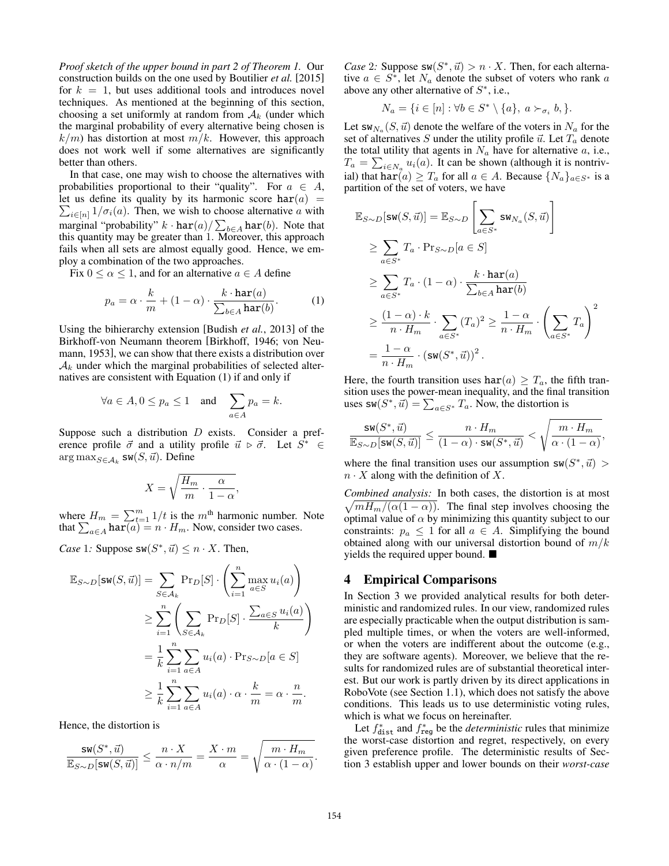*Proof sketch of the upper bound in part 2 of Theorem 1.* Our construction builds on the one used by Boutilier *et al.* [2015] for  $k = 1$ , but uses additional tools and introduces novel techniques. As mentioned at the beginning of this section, choosing a set uniformly at random from  $A_k$  (under which the marginal probability of every alternative being chosen is  $k/m$ ) has distortion at most  $m/k$ . However, this approach does not work well if some alternatives are significantly better than others.

In that case, one may wish to choose the alternatives with probabilities proportional to their "quality". For  $a \in A$ , let us define its quality by its harmonic score  $\text{har}(a)$  =  $\sum_{i \in [n]} 1/\sigma_i(a)$ . Then, we wish to choose alternative *a* with marginal "probability"  $k \cdot \text{har}(a) / \sum_{b \in A} \text{har}(b)$ . Note that this quantity may be greater than 1. Moreover, this approach fails when all sets are almost equally good. Hence, we employ a combination of the two approaches.

Fix  $0 \le \alpha \le 1$ , and for an alternative  $a \in A$  define

$$
p_a = \alpha \cdot \frac{k}{m} + (1 - \alpha) \cdot \frac{k \cdot \mathtt{har}(a)}{\sum_{b \in A} \mathtt{har}(b)}.
$$
 (1)

Using the bihierarchy extension [Budish *et al.*, 2013] of the Birkhoff-von Neumann theorem [Birkhoff, 1946; von Neumann, 1953], we can show that there exists a distribution over  $A_k$  under which the marginal probabilities of selected alternatives are consistent with Equation (1) if and only if

$$
\forall a \in A, 0 \le p_a \le 1 \quad \text{and} \quad \sum_{a \in A} p_a = k.
$$

Suppose such a distribution *D* exists. Consider a preference profile  $\vec{\sigma}$  and a utility profile  $\vec{u} \triangleright \vec{\sigma}$ . Let  $S^* \in$  $\arg \max_{S \in A_k} sw(S, \vec{u})$ . Define

$$
X = \sqrt{\frac{H_m}{m} \cdot \frac{\alpha}{1 - \alpha}},
$$

where  $H_m = \sum_{t=1}^{m} 1/t$  is the *m*<sup>th</sup> harmonic number. Note that  $\sum_{a \in A} \text{har}(a) = n \cdot H_m$ . Now, consider two cases.

*Case* 1*:* Suppose  $sw(S^*, \vec{u}) \leq n \cdot X$ . Then,

$$
\mathbb{E}_{S \sim D}[\mathbf{sw}(S, \vec{u})] = \sum_{S \in \mathcal{A}_k} \Pr_D[S] \cdot \left( \sum_{i=1}^n \max_{a \in S} u_i(a) \right)
$$
  
\n
$$
\geq \sum_{i=1}^n \left( \sum_{S \in \mathcal{A}_k} \Pr_D[S] \cdot \frac{\sum_{a \in S} u_i(a)}{k} \right)
$$
  
\n
$$
= \frac{1}{k} \sum_{i=1}^n \sum_{a \in A} u_i(a) \cdot \Pr_{S \sim D}[a \in S]
$$
  
\n
$$
\geq \frac{1}{k} \sum_{i=1}^n \sum_{a \in A} u_i(a) \cdot \alpha \cdot \frac{k}{m} = \alpha \cdot \frac{n}{m}.
$$

Hence, the distortion is

$$
\frac{\mathrm{sw}(S^*,\vec u)}{\mathbb{E}_{S\sim D}[\mathrm{sw}(S,\vec u)]}\leq \frac{n\cdot X}{\alpha\cdot n/m}=\frac{X\cdot m}{\alpha}=\sqrt{\frac{m\cdot H_m}{\alpha\cdot (1-\alpha)}}.
$$

*Case* 2*:* Suppose  $sw(S^*, \vec{u}) > n \cdot X$ . Then, for each alternative  $a \in S^*$ , let  $N_a$  denote the subset of voters who rank *a* above any other alternative of *S*⇤, i.e.,

$$
N_a = \{ i \in [n] : \forall b \in S^* \setminus \{a\}, \ a \succ_{\sigma_i} b, \}.
$$

Let  $sw_{N_a}(S, \vec{u})$  denote the welfare of the voters in  $N_a$  for the set of alternatives  $S$  under the utility profile  $\vec{u}$ . Let  $T_a$  denote the total utility that agents in  $N_a$  have for alternative  $a$ , i.e.,  $T_a = \sum_{i \in N_a} u_i(a)$ . It can be shown (although it is nontrivial) that har $(a) \geq T_a$  for all  $a \in A$ . Because  $\{N_a\}_{a \in S^*}$  is a partition of the set of voters, we have

$$
\mathbb{E}_{S \sim D}[\mathsf{sw}(S, \vec{u})] = \mathbb{E}_{S \sim D} \left[ \sum_{a \in S^*} \mathsf{sw}_{N_a}(S, \vec{u}) \right]
$$
\n
$$
\geq \sum_{a \in S^*} T_a \cdot \Pr_{S \sim D} [a \in S]
$$
\n
$$
\geq \sum_{a \in S^*} T_a \cdot (1 - \alpha) \cdot \frac{k \cdot \text{har}(a)}{\sum_{b \in A} \text{har}(b)}
$$
\n
$$
\geq \frac{(1 - \alpha) \cdot k}{n \cdot H_m} \cdot \sum_{a \in S^*} (T_a)^2 \geq \frac{1 - \alpha}{n \cdot H_m} \cdot \left( \sum_{a \in S^*} T_a \right)^2
$$
\n
$$
= \frac{1 - \alpha}{n \cdot H_m} \cdot (\mathsf{sw}(S^*, \vec{u}))^2.
$$

Here, the fourth transition uses  $\text{har}(a) \geq T_a$ , the fifth transition uses the power-mean inequality, and the final transition uses  $\mathsf{sw}(S^*, \vec{u}) = \sum_{a \in S^*} T_a$ . Now, the distortion is

$$
\frac{\mathrm{sw}(S^*, \vec{u})}{\mathbb{E}_{S\sim D}[\mathrm{sw}(S, \vec{u})]} \leq \frac{n\cdot H_m}{(1-\alpha)\cdot \mathrm{sw}(S^*, \vec{u})} < \sqrt{\frac{m\cdot H_m}{\alpha\cdot (1-\alpha)}},
$$

where the final transition uses our assumption  $sw(S^*, \vec{u})$  $n \cdot X$  along with the definition of *X*.

*Combined analysis:* In both cases, the distortion is at most  $\sqrt{mH_m/(\alpha(1-\alpha))}$ . The final step involves choosing the optimal value of  $\alpha$  by minimizing this quantity subject to our constraints:  $p_a \leq 1$  for all  $a \in A$ . Simplifying the bound obtained along with our universal distortion bound of *m/k* yields the required upper bound.  $\blacksquare$ 

#### 4 Empirical Comparisons

In Section 3 we provided analytical results for both deterministic and randomized rules. In our view, randomized rules are especially practicable when the output distribution is sampled multiple times, or when the voters are well-informed, or when the voters are indifferent about the outcome (e.g., they are software agents). Moreover, we believe that the results for randomized rules are of substantial theoretical interest. But our work is partly driven by its direct applications in RoboVote (see Section 1.1), which does not satisfy the above conditions. This leads us to use deterministic voting rules, which is what we focus on hereinafter.

Let  $f_{\text{dist}}^*$  and  $f_{\text{reg}}^*$  be the *deterministic* rules that minimize the worst-case distortion and regret, respectively, on every given preference profile. The deterministic results of Section 3 establish upper and lower bounds on their *worst-case*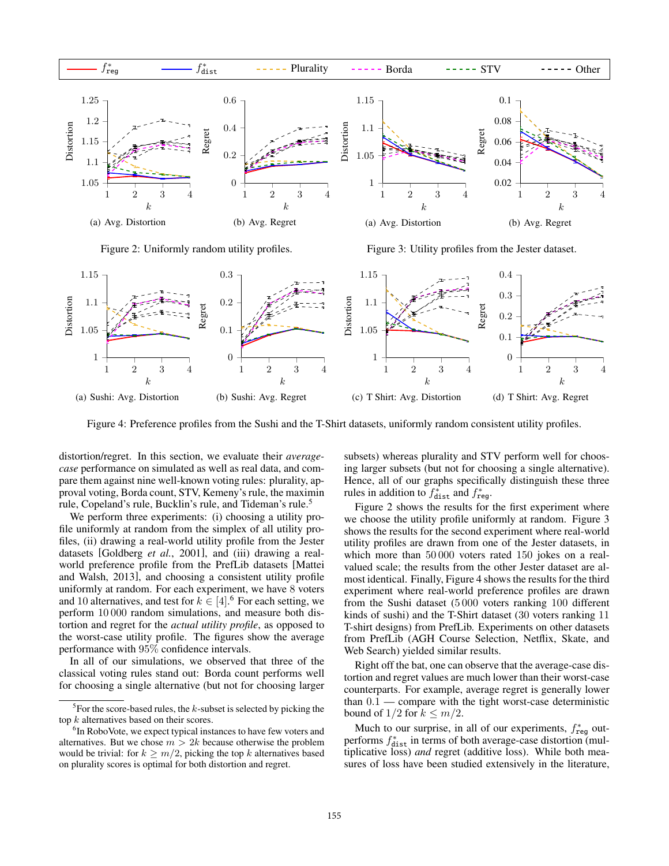

Figure 2: Uniformly random utility profiles.

Figure 3: Utility profiles from the Jester dataset.



Figure 4: Preference profiles from the Sushi and the T-Shirt datasets, uniformly random consistent utility profiles.

distortion/regret. In this section, we evaluate their *averagecase* performance on simulated as well as real data, and compare them against nine well-known voting rules: plurality, approval voting, Borda count, STV, Kemeny's rule, the maximin rule, Copeland's rule, Bucklin's rule, and Tideman's rule.<sup>5</sup>

We perform three experiments: (i) choosing a utility profile uniformly at random from the simplex of all utility profiles, (ii) drawing a real-world utility profile from the Jester datasets [Goldberg *et al.*, 2001], and (iii) drawing a realworld preference profile from the PrefLib datasets [Mattei and Walsh, 2013], and choosing a consistent utility profile uniformly at random. For each experiment, we have 8 voters and 10 alternatives, and test for  $k \in [4]$ .<sup>6</sup> For each setting, we perform 10 000 random simulations, and measure both distortion and regret for the *actual utility profile*, as opposed to the worst-case utility profile. The figures show the average performance with 95% confidence intervals.

In all of our simulations, we observed that three of the classical voting rules stand out: Borda count performs well for choosing a single alternative (but not for choosing larger subsets) whereas plurality and STV perform well for choosing larger subsets (but not for choosing a single alternative). Hence, all of our graphs specifically distinguish these three rules in addition to  $f^*_{\text{dist}}$  and  $f^*_{\text{reg}}$ .

Figure 2 shows the results for the first experiment where we choose the utility profile uniformly at random. Figure 3 shows the results for the second experiment where real-world utility profiles are drawn from one of the Jester datasets, in which more than 50 000 voters rated 150 jokes on a realvalued scale; the results from the other Jester dataset are almost identical. Finally, Figure 4 shows the results for the third experiment where real-world preference profiles are drawn from the Sushi dataset (5 000 voters ranking 100 different kinds of sushi) and the T-Shirt dataset (30 voters ranking 11 T-shirt designs) from PrefLib. Experiments on other datasets from PrefLib (AGH Course Selection, Netflix, Skate, and Web Search) yielded similar results.

Right off the bat, one can observe that the average-case distortion and regret values are much lower than their worst-case counterparts. For example, average regret is generally lower than 0*.*1 — compare with the tight worst-case deterministic bound of  $1/2$  for  $k \leq m/2$ .

Much to our surprise, in all of our experiments,  $f_{reg}^*$  outperforms  $f_{\text{dist}}^*$  in terms of both average-case distortion (multiplicative loss) *and* regret (additive loss). While both measures of loss have been studied extensively in the literature,

<sup>5</sup> For the score-based rules, the *k*-subset is selected by picking the top *k* alternatives based on their scores.

<sup>&</sup>lt;sup>6</sup>In RoboVote, we expect typical instances to have few voters and alternatives. But we chose  $m > 2k$  because otherwise the problem would be trivial: for  $k \geq m/2$ , picking the top *k* alternatives based on plurality scores is optimal for both distortion and regret.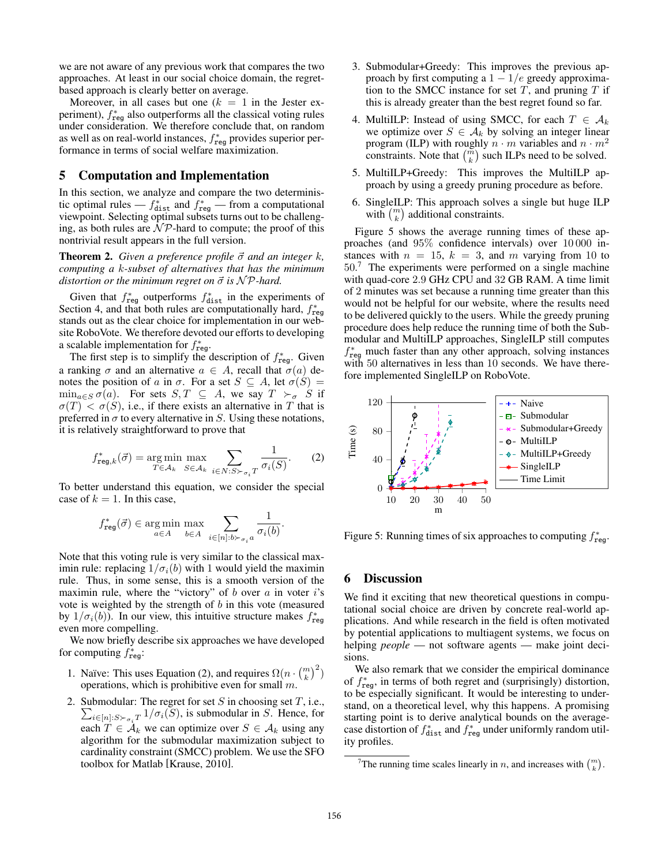we are not aware of any previous work that compares the two approaches. At least in our social choice domain, the regretbased approach is clearly better on average.

Moreover, in all cases but one  $(k = 1$  in the Jester experiment),  $f_{\text{reg}}^{*}$  also outperforms all the classical voting rules under consideration. We therefore conclude that, on random as well as on real-world instances,  $f^*_{\text{reg}}$  provides superior performance in terms of social welfare maximization.

### 5 Computation and Implementation

In this section, we analyze and compare the two deterministic optimal rules —  $f_{\text{dist}}^*$  and  $f_{\text{reg}}^*$  — from a computational viewpoint. Selecting optimal subsets turns out to be challenging, as both rules are  $\mathcal{NP}$ -hard to compute; the proof of this nontrivial result appears in the full version.

**Theorem 2.** Given a preference profile  $\vec{\sigma}$  and an integer  $k$ , *computing a k-subset of alternatives that has the minimum distortion or the minimum regret on*  $\vec{\sigma}$  *is*  $N \mathcal{P}$ *-hard.* 

Given that  $f_{\text{reg}}^*$  outperforms  $f_{\text{dist}}^*$  in the experiments of Section 4, and that both rules are computationally hard,  $f_{\text{reg}}^*$ stands out as the clear choice for implementation in our website RoboVote. We therefore devoted our efforts to developing a scalable implementation for  $f^*_{\text{reg}}$ .

The first step is to simplify the description of  $f_{\text{reg}}^*$ . Given a ranking  $\sigma$  and an alternative  $a \in A$ , recall that  $\sigma(a)$  denotes the position of *a* in  $\sigma$ . For a set  $S \subseteq A$ , let  $\sigma(S) =$  $\min_{a \in S} \sigma(a)$ . For sets  $S, T \subseteq A$ , we say  $T \succ_{\sigma} S$  if  $\sigma(T) < \sigma(S)$ , i.e., if there exists an alternative in *T* that is preferred in  $\sigma$  to every alternative in *S*. Using these notations, it is relatively straightforward to prove that

$$
f_{\text{reg},k}^*(\vec{\sigma}) = \underset{T \in \mathcal{A}_k}{\text{arg min}} \max_{S \in \mathcal{A}_k} \sum_{i \in N: S \succ_{\sigma_i} T} \frac{1}{\sigma_i(S)}. \tag{2}
$$

To better understand this equation, we consider the special case of  $k = 1$ . In this case,

$$
f^*_{\textnormal{reg}}(\vec{\sigma}) \in \underset{a \in A}{\textnormal{arg\,min}} \; \underset{b \in A}{\textnormal{max}} \; \sum_{i \in [n]: b \succ_{\sigma_i} a} \frac{1}{\sigma_i(b)}.
$$

Note that this voting rule is very similar to the classical maximin rule: replacing  $1/\sigma_i(b)$  with 1 would yield the maximin rule. Thus, in some sense, this is a smooth version of the maximin rule, where the "victory" of *b* over *a* in voter *i*'s vote is weighted by the strength of *b* in this vote (measured by  $1/\sigma_i(b)$ ). In our view, this intuitive structure makes  $f^*_{reg}$ even more compelling.

We now briefly describe six approaches we have developed for computing  $f^*_{\text{reg}}$ :

- 1. Naïve: This uses Equation (2), and requires  $\Omega(n \cdot {m \choose k}^2)$ operations, which is prohibitive even for small *m*.
- 2. Submodular: The regret for set *S* in choosing set *T*, i.e.,  $\sum_{i \in [n]: S \succ_{\sigma_i} T} 1/\sigma_i(S)$ , is submodular in *S*. Hence, for each  $T \in \mathcal{A}_k$  we can optimize over  $S \in \mathcal{A}_k$  using any algorithm for the submodular maximization subject to cardinality constraint (SMCC) problem. We use the SFO toolbox for Matlab [Krause, 2010].
- 3. Submodular+Greedy: This improves the previous approach by first computing a  $1 - 1/e$  greedy approximation to the SMCC instance for set  $T$ , and pruning  $T$  if this is already greater than the best regret found so far.
- 4. MultiILP: Instead of using SMCC, for each  $T \in \mathcal{A}_k$ we optimize over  $S \in \mathcal{A}_k$  by solving an integer linear program (ILP) with roughly  $n \cdot m$  variables and  $n \cdot m^2$ constraints. Note that  $\binom{m}{k}$  such ILPs need to be solved.
- 5. MultiILP+Greedy: This improves the MultiILP approach by using a greedy pruning procedure as before.
- 6. SingleILP: This approach solves a single but huge ILP with  $\binom{m}{k}$  additional constraints.

Figure 5 shows the average running times of these approaches (and 95% confidence intervals) over 10 000 instances with  $n = 15$ ,  $k = 3$ , and m varying from 10 to 50. <sup>7</sup> The experiments were performed on a single machine with quad-core 2*.*9 GHz CPU and 32 GB RAM. A time limit of 2 minutes was set because a running time greater than this would not be helpful for our website, where the results need to be delivered quickly to the users. While the greedy pruning procedure does help reduce the running time of both the Submodular and MultiILP approaches, SingleILP still computes  $f_{\text{reg}}^*$  much faster than any other approach, solving instances with 50 alternatives in less than 10 seconds. We have therefore implemented SingleILP on RoboVote.



Figure 5: Running times of six approaches to computing  $f^*_{\text{reg}}$ .

#### 6 Discussion

We find it exciting that new theoretical questions in computational social choice are driven by concrete real-world applications. And while research in the field is often motivated by potential applications to multiagent systems, we focus on helping *people* — not software agents — make joint decisions.

We also remark that we consider the empirical dominance of  $f_{\text{reg}}^*$ , in terms of both regret and (surprisingly) distortion, to be especially significant. It would be interesting to understand, on a theoretical level, why this happens. A promising starting point is to derive analytical bounds on the averagecase distortion of  $f_{\text{dist}}^*$  and  $f_{\text{reg}}^*$  under uniformly random utility profiles.

<sup>&</sup>lt;sup>7</sup>The running time scales linearly in *n*, and increases with  $\binom{m}{k}$ .